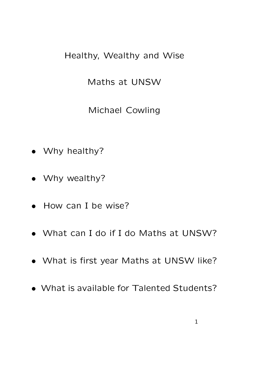## Healthy, Wealthy and Wise

Maths at UNSW

Michael Cowling

- Why healthy?
- Why wealthy?
- How can I be wise?
- What can I do if I do Maths at UNSW?
- What is first year Maths at UNSW like?
- What is available for Talented Students?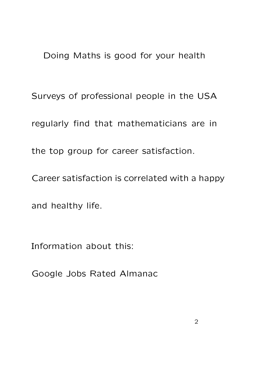Doing Maths is good for your health

Surveys of professional people in the USA regularly find that mathematicians are in the top group for career satisfaction.

Career satisfaction is correlated with a happy

and healthy life.

Information about this:

Google Jobs Rated Almanac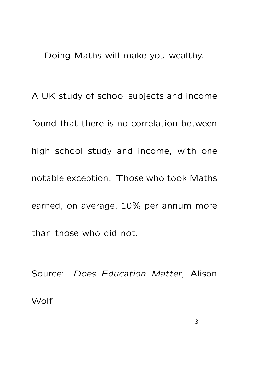Doing Maths will make you wealthy.

A UK study of school subjects and income found that there is no correlation between high school study and income, with one notable exception. Those who took Maths earned, on average, 10% per annum more than those who did not.

Source: Does Education Matter, Alison **Wolf**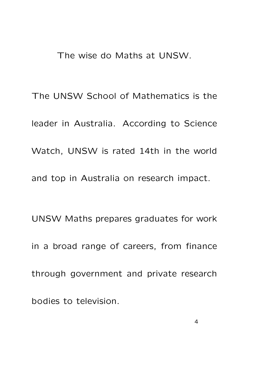The wise do Maths at UNSW.

The UNSW School of Mathematics is the leader in Australia. According to Science Watch, UNSW is rated 14th in the world and top in Australia on research impact.

UNSW Maths prepares graduates for work in a broad range of careers, from finance through government and private research bodies to television.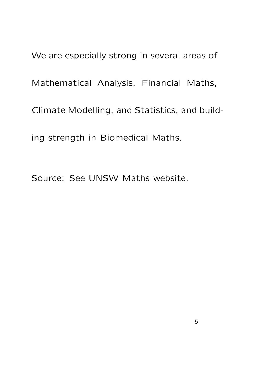We are especially strong in several areas of Mathematical Analysis, Financial Maths, Climate Modelling, and Statistics, and build-

ing strength in Biomedical Maths.

Source: See UNSW Maths website.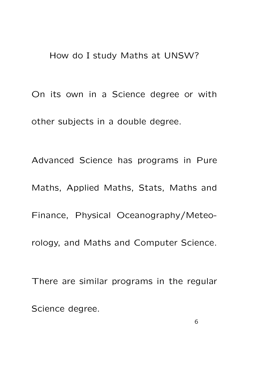How do I study Maths at UNSW?

On its own in a Science degree or with other subjects in a double degree.

Advanced Science has programs in Pure Maths, Applied Maths, Stats, Maths and Finance, Physical Oceanography/Meteorology, and Maths and Computer Science. There are similar programs in the regular

Science degree.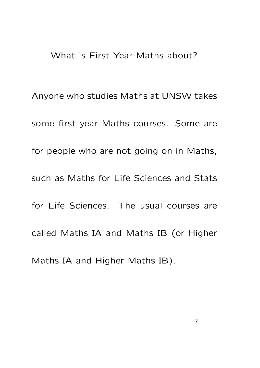## What is First Year Maths about?

Anyone who studies Maths at UNSW takes some first year Maths courses. Some are for people who are not going on in Maths, such as Maths for Life Sciences and Stats for Life Sciences. The usual courses are called Maths IA and Maths IB (or Higher Maths IA and Higher Maths IB).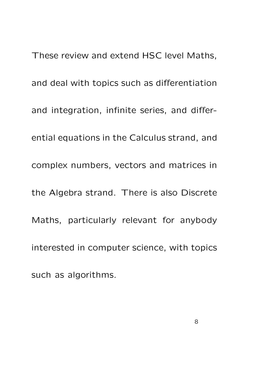These review and extend HSC level Maths, and deal with topics such as differentiation and integration, infinite series, and differential equations in the Calculus strand, and complex numbers, vectors and matrices in the Algebra strand. There is also Discrete Maths, particularly relevant for anybody interested in computer science, with topics such as algorithms.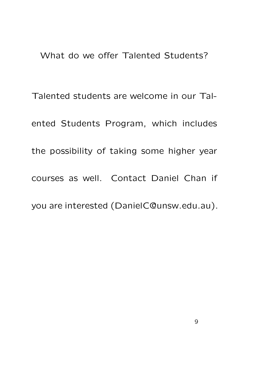What do we offer Talented Students?

Talented students are welcome in our Talented Students Program, which includes the possibility of taking some higher year courses as well. Contact Daniel Chan if you are interested (DanielC@unsw.edu.au).